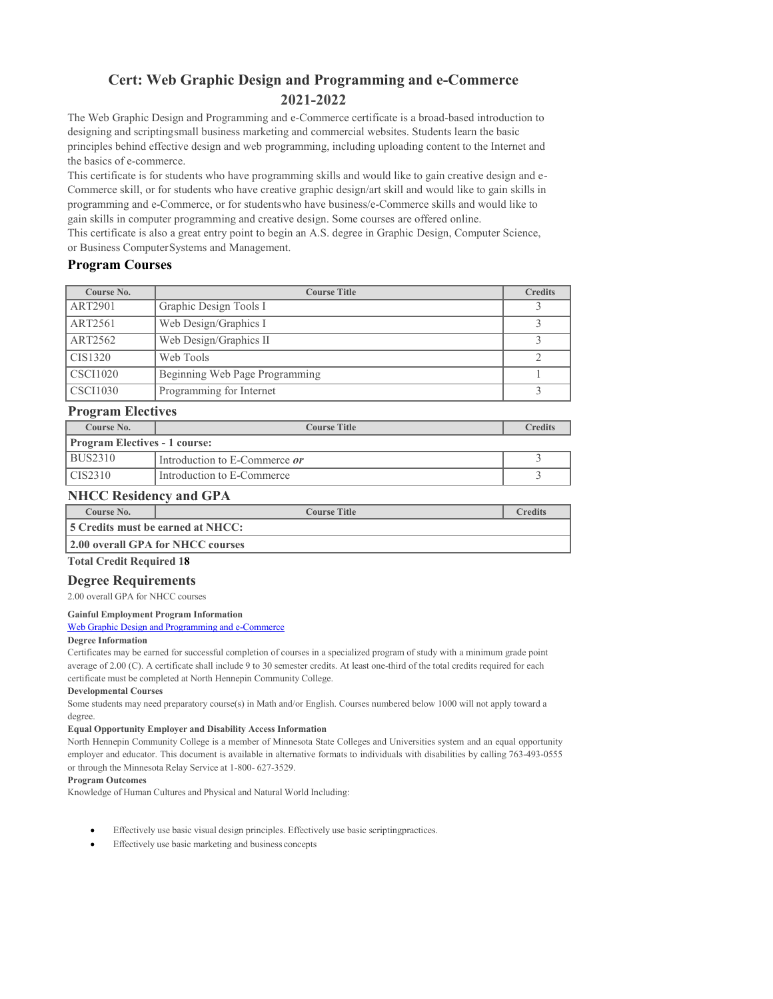# **Cert: Web Graphic Design and Programming and e-Commerce 2021-2022**

The Web Graphic Design and Programming and e-Commerce certificate is a broad-based introduction to designing and scriptingsmall business marketing and commercial websites. Students learn the basic principles behind effective design and web programming, including uploading content to the Internet and the basics of e-commerce.

This certificate is for students who have programming skills and would like to gain creative design and e-Commerce skill, or for students who have creative graphic design/art skill and would like to gain skills in programming and e-Commerce, or for studentswho have business/e-Commerce skills and would like to gain skills in computer programming and creative design. Some courses are offered online.

This certificate is also a great entry point to begin an A.S. degree in Graphic Design, Computer Science, or Business ComputerSystems and Management.

## **Program Courses**

| Course No.      | <b>Course Title</b>            | <b>Credits</b> |
|-----------------|--------------------------------|----------------|
| <b>ART2901</b>  | Graphic Design Tools I         |                |
| ART2561         | Web Design/Graphics I          |                |
| ART2562         | Web Design/Graphics II         |                |
| CIS1320         | Web Tools                      |                |
| <b>CSCI1020</b> | Beginning Web Page Programming |                |
| <b>CSCI1030</b> | Programming for Internet       |                |

## **Program Electives**

| Course No.                           | <b>Course Title</b>                    | <b>Credits</b> |  |  |
|--------------------------------------|----------------------------------------|----------------|--|--|
| <b>Program Electives - 1 course:</b> |                                        |                |  |  |
| BUS2310                              | I Introduction to E-Commerce <i>or</i> |                |  |  |
| LCIS2310                             | I Introduction to E-Commerce           |                |  |  |

# **NHCC Residency and GPA**

| Course No.                               | <b>Course Title</b>               | $\Gamma$ redits |  |  |
|------------------------------------------|-----------------------------------|-----------------|--|--|
| <b>5 Credits must be earned at NHCC:</b> |                                   |                 |  |  |
|                                          | 2.00 overall GPA for NHCC courses |                 |  |  |

## **Total Credit Required 18**

## **Degree Requirements**

2.00 overall GPA for NHCC courses

### **Gainful [Employmen](http://www.mnscu.edu/admissions/ge/northhennepin/GEDT_0153_8257_1/gedt.html)t Program Information**

### Web [Graphic](http://www.mnscu.edu/admissions/ge/northhennepin/GEDT_0153_8257_1/gedt.html) Design and Programming and e-Commerce

## **Degree [Informatio](http://www.mnscu.edu/admissions/ge/northhennepin/GEDT_0153_8257_1/gedt.html)n**

[Certificates may be](http://www.mnscu.edu/admissions/ge/northhennepin/GEDT_0153_8257_1/gedt.html) earned for successful completion of courses in a specialized program of study with [a minimum grade po](http://www.mnscu.edu/admissions/ge/northhennepin/GEDT_0153_8257_1/gedt.html)int average of 2.00 (C). A certificate shall include 9 to 30 semester credits. A[t least one-third of th](http://www.mnscu.edu/admissions/ge/northhennepin/GEDT_0153_8257_1/gedt.html)e total credits required for each certificate must be completed at North Hennepin [Community](http://www.mnscu.edu/admissions/ge/northhennepin/GEDT_0153_8257_1/gedt.html) College.

### **[Developmental](http://www.mnscu.edu/admissions/ge/northhennepin/GEDT_0153_8257_1/gedt.html) Courses**

[Some students ma](http://www.mnscu.edu/admissions/ge/northhennepin/GEDT_0153_8257_1/gedt.html)y need preparatory course(s) in Math and/or English. Courses numbered below [1000 will not apply to](http://www.mnscu.edu/admissions/ge/northhennepin/GEDT_0153_8257_1/gedt.html)ward a degree.

### **Equal [Opportunity E](http://www.mnscu.edu/admissions/ge/northhennepin/GEDT_0153_8257_1/gedt.html)mployer and Disability Access Information**

[North Hennepin C](http://www.mnscu.edu/admissions/ge/northhennepin/GEDT_0153_8257_1/gedt.html)ommunity College is a member of Minnesota State Colleges and Universities system [and an equal oppor](http://www.mnscu.edu/admissions/ge/northhennepin/GEDT_0153_8257_1/gedt.html)tunity employer and educator. This document is available in alternative formats t[o individuals with disa](http://www.mnscu.edu/admissions/ge/northhennepin/GEDT_0153_8257_1/gedt.html)bilities by calling 763-493-0555 or through the Minnesota Relay Service at 1-800- [627-3529.](http://www.mnscu.edu/admissions/ge/northhennepin/GEDT_0153_8257_1/gedt.html)

### **Program [Outcomes](http://www.mnscu.edu/admissions/ge/northhennepin/GEDT_0153_8257_1/gedt.html)**

Knowledge of Human Cultures and Physical and Natural World Including:

- Effectively use basic visual design principles. Effectively use basic scriptingpractices.
- Effectively use basic marketing and business concepts